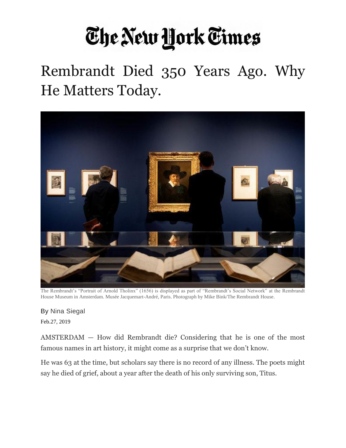## The New York Times

## Rembrandt Died 350 Years Ago. Why He Matters Today.



The Rembrandt's "Portrait of Arnold Tholinx" (1656) is displayed as part of "Rembrandt's Social Network" at the Rembrandt House Museum in Amsterdam. Musée Jacquemart-André, Paris. Photograph by Mike Bink/The Rembrandt House.

By [Nina](https://www.nytimes.com/by/doreen-carvajal) Siegal Feb.27, 2019

AMSTERDAM — How did Rembrandt die? Considering that he is one of the most famous names in art history, it might come as a surprise that we don't know.

He was 63 at the time, but scholars say there is no record of any illness. The poets might say he died of grief, about a year after the death of his only surviving son, Titus.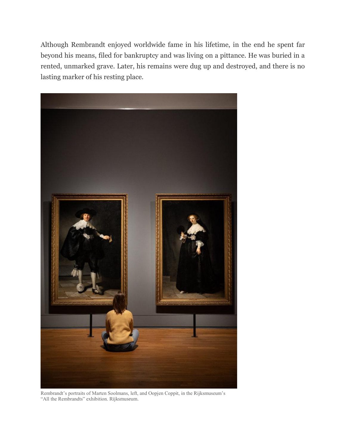Although Rembrandt enjoyed worldwide fame in his lifetime, in the end he spent far beyond his means, filed for bankruptcy and was living on a pittance. He was buried in a rented, unmarked grave. Later, his remains were dug up and destroyed, and there is no lasting marker of his resting place.



Rembrandt's portraits of Marten Soolmans, left, and Oopjen Coppit, in the Rijksmuseum's "All the Rembrandts" exhibition. Rijksmuseum.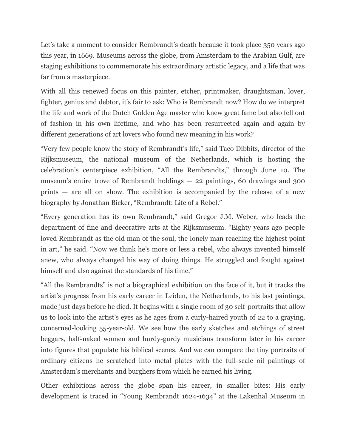Let's take a moment to consider Rembrandt's death because it took place 350 years ago this year, in 1669. Museums across the globe, from Amsterdam to the Arabian Gulf, are staging exhibitions to commemorate his extraordinary artistic legacy, and a life that was far from a masterpiece.

With all this renewed focus on this painter, etcher, printmaker, draughtsman, lover, fighter, genius and debtor, it's fair to ask: Who is Rembrandt now? How do we interpret the life and work of the Dutch Golden Age master who knew great fame but also fell out of fashion in his own lifetime, and who has been resurrected again and again by different generations of art lovers who found new meaning in his work?

"Very few people know the story of Rembrandt's life," said Taco Dibbits, director of the Rijksmuseum, the national museum of the Netherlands, which is hosting the celebration's centerpiece exhibition, "All the Rembrandts," through June 10. The museum's entire trove of Rembrandt holdings — 22 paintings, 60 drawings and 300 prints — are all on show. The exhibition is accompanied by the release of a new biography by Jonathan Bicker, "Rembrandt: Life of a Rebel."

"Every generation has its own Rembrandt," said Gregor J.M. Weber, who leads the department of fine and decorative arts at the Rijksmuseum. "Eighty years ago people loved Rembrandt as the old man of the soul, the lonely man reaching the highest point in art," he said. "Now we think he's more or less a rebel, who always invented himself anew, who always changed his way of doing things. He struggled and fought against himself and also against the standards of his time."

"All the Rembrandts" is not a biographical exhibition on the face of it, but it tracks the artist's progress from his early career in Leiden, the Netherlands, to his last paintings, made just days before he died. It begins with a single room of 30 self-portraits that allow us to look into the artist's eyes as he ages from a curly-haired youth of 22 to a graying, concerned-looking 55-year-old. We see how the early sketches and etchings of street beggars, half-naked women and hurdy-gurdy musicians transform later in his career into figures that populate his biblical scenes. And we can compare the tiny portraits of ordinary citizens he scratched into metal plates with the full-scale oil paintings of Amsterdam's merchants and burghers from which he earned his living.

Other exhibitions across the globe span his career, in smaller bites: His early development is traced in "Young Rembrandt 1624-1634" at the Lakenhal Museum in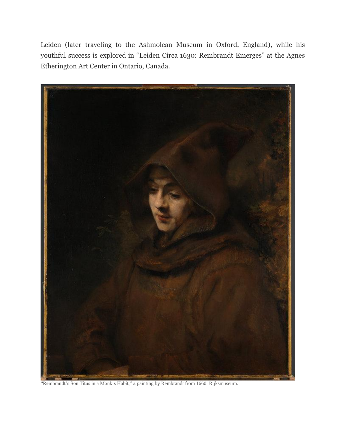Leiden (later traveling to the Ashmolean Museum in Oxford, England), while his youthful success is explored in "Leiden Circa 1630: Rembrandt Emerges" at the Agnes Etherington Art Center in Ontario, Canada.



"Rembrandt's Son Titus in a Monk's Habit," a painting by Rembrandt from 1660. Rijksmuseum.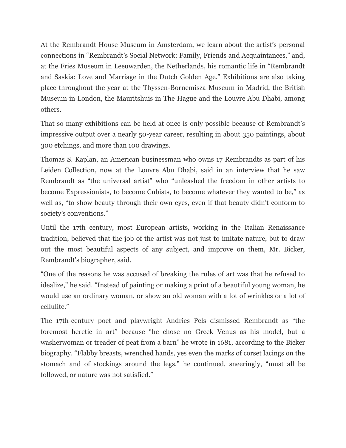At the Rembrandt House Museum in Amsterdam, we learn about the artist's personal connections in "Rembrandt's Social Network: Family, Friends and Acquaintances," and, at the Fries Museum in Leeuwarden, the Netherlands, his romantic life in "Rembrandt and Saskia: Love and Marriage in the Dutch Golden Age." Exhibitions are also taking place throughout the year at the Thyssen-Bornemisza Museum in Madrid, the British Museum in London, the Mauritshuis in The Hague and the Louvre Abu Dhabi, among others.

That so many exhibitions can be held at once is only possible because of Rembrandt's impressive output over a nearly 50-year career, resulting in about 350 paintings, about 300 etchings, and more than 100 drawings.

Thomas S. Kaplan, an American businessman who owns 17 Rembrandts as part of his Leiden Collection, now at the Louvre Abu Dhabi, said in an interview that he saw Rembrandt as "the universal artist" who "unleashed the freedom in other artists to become Expressionists, to become Cubists, to become whatever they wanted to be," as well as, "to show beauty through their own eyes, even if that beauty didn't conform to society's conventions."

Until the 17th century, most European artists, working in the Italian Renaissance tradition, believed that the job of the artist was not just to imitate nature, but to draw out the most beautiful aspects of any subject, and improve on them, Mr. Bicker, Rembrandt's biographer, said.

"One of the reasons he was accused of breaking the rules of art was that he refused to idealize," he said. "Instead of painting or making a print of a beautiful young woman, he would use an ordinary woman, or show an old woman with a lot of wrinkles or a lot of cellulite."

The 17th-century poet and playwright Andries Pels dismissed Rembrandt as "the foremost heretic in art" because "he chose no Greek Venus as his model, but a washerwoman or treader of peat from a barn" he wrote in 1681, according to the Bicker biography. "Flabby breasts, wrenched hands, yes even the marks of corset lacings on the stomach and of stockings around the legs," he continued, sneeringly, "must all be followed, or nature was not satisfied."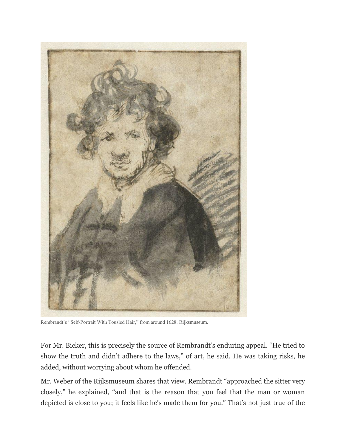

Rembrandt's "Self-Portrait With Tousled Hair," from around 1628. Rijksmuseum.

For Mr. Bicker, this is precisely the source of Rembrandt's enduring appeal. "He tried to show the truth and didn't adhere to the laws," of art, he said. He was taking risks, he added, without worrying about whom he offended.

Mr. Weber of the Rijksmuseum shares that view. Rembrandt "approached the sitter very closely," he explained, "and that is the reason that you feel that the man or woman depicted is close to you; it feels like he's made them for you." That's not just true of the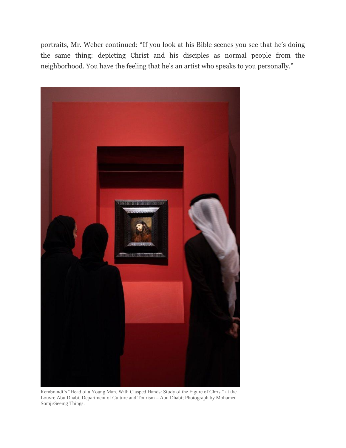portraits, Mr. Weber continued: "If you look at his Bible scenes you see that he's doing the same thing: depicting Christ and his disciples as normal people from the neighborhood. You have the feeling that he's an artist who speaks to you personally."



Rembrandt's "Head of a Young Man, With Clasped Hands: Study of the Figure of Christ" at the Louvre Abu Dhabi. Department of Culture and Tourism – Abu Dhabi; Photograph by Mohamed Somji/Seeing Things.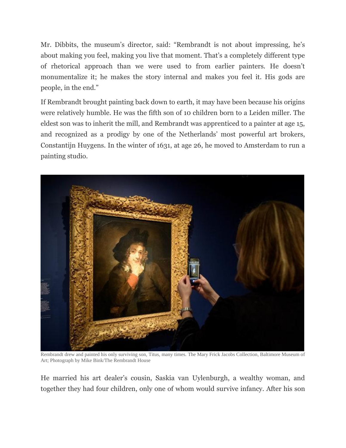Mr. Dibbits, the museum's director, said: "Rembrandt is not about impressing, he's about making you feel, making you live that moment. That's a completely different type of rhetorical approach than we were used to from earlier painters. He doesn't monumentalize it; he makes the story internal and makes you feel it. His gods are people, in the end."

If Rembrandt brought painting back down to earth, it may have been because his origins were relatively humble. He was the fifth son of 10 children born to a Leiden miller. The eldest son was to inherit the mill, and Rembrandt was apprenticed to a painter at age 15, and recognized as a prodigy by one of the Netherlands' most powerful art brokers, Constantijn Huygens. In the winter of 1631, at age 26, he moved to Amsterdam to run a painting studio.



Rembrandt drew and painted his only surviving son, Titus, many times. The Mary Frick Jacobs Collection, Baltimore Museum of Art; Photograph by Mike Bink/The Rembrandt House

He married his art dealer's cousin, Saskia van Uylenburgh, a wealthy woman, and together they had four children, only one of whom would survive infancy. After his son